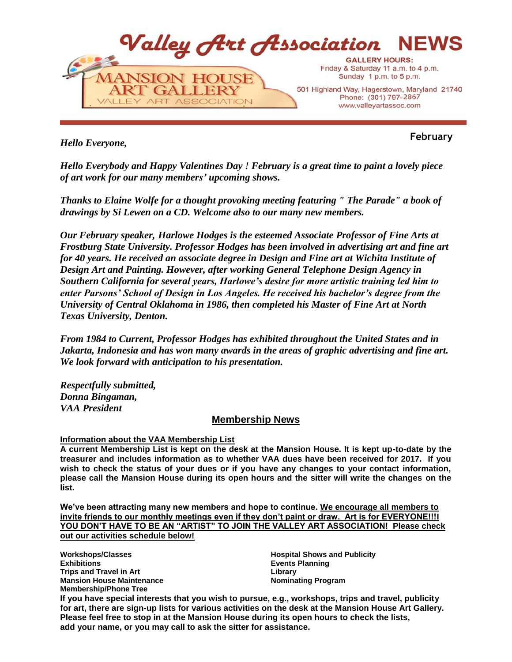

*Hello Everyone,*

**February**

*Hello Everybody and Happy Valentines Day ! February is a great time to paint a lovely piece of art work for our many members' upcoming shows.*

*Thanks to Elaine Wolfe for a thought provoking meeting featuring " The Parade" a book of drawings by Si Lewen on a CD. Welcome also to our many new members.*

*Our February speaker, Harlowe Hodges is the esteemed Associate Professor of Fine Arts at Frostburg State University. Professor Hodges has been involved in advertising art and fine art for 40 years. He received an associate degree in Design and Fine art at Wichita Institute of Design Art and Painting. However, after working General Telephone Design Agency in Southern California for several years, Harlowe's desire for more artistic training led him to enter Parsons' School of Design in Los Angeles. He received his bachelor's degree from the University of Central Oklahoma in 1986, then completed his Master of Fine Art at North Texas University, Denton.*

*From 1984 to Current, Professor Hodges has exhibited throughout the United States and in Jakarta, Indonesia and has won many awards in the areas of graphic advertising and fine art. We look forward with anticipation to his presentation.*

*Respectfully submitted, Donna Bingaman, VAA President* 

# **Membership News**

# **Information about the VAA Membership List**

**A current Membership List is kept on the desk at the Mansion House. It is kept up-to-date by the treasurer and includes information as to whether VAA dues have been received for 2017. If you wish to check the status of your dues or if you have any changes to your contact information, please call the Mansion House during its open hours and the sitter will write the changes on the list.**

**We've been attracting many new members and hope to continue. We encourage all members to invite friends to our monthly meetings even if they don't paint or draw. Art is for EVERYONE!!!I YOU DON'T HAVE TO BE AN "ARTIST" TO JOIN THE VALLEY ART ASSOCIATION! Please check out our activities schedule below!**

**Workshops/Classes Exhibitions Trips and Travel in Art Mansion House Maintenance Membership/Phone Tree**

**Hospital Shows and Publicity Events Planning Library Nominating Program**

**If you have special interests that you wish to pursue, e.g., workshops, trips and travel, publicity for art, there are sign-up lists for various activities on the desk at the Mansion House Art Gallery. Please feel free to stop in at the Mansion House during its open hours to check the lists, add your name, or you may call to ask the sitter for assistance.**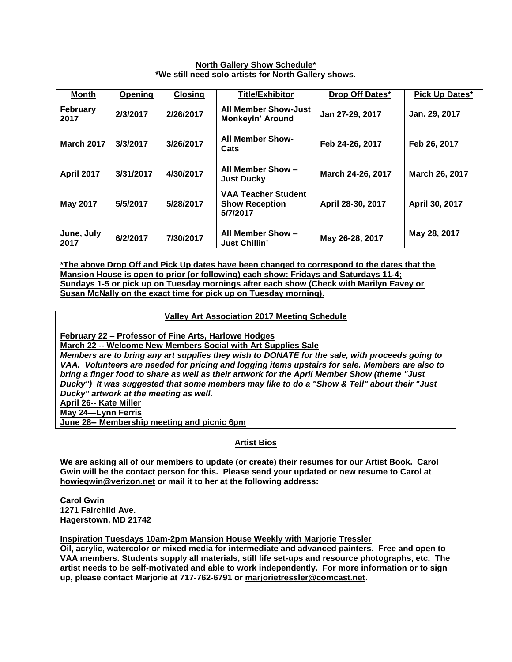# **North Gallery Show Schedule\* \*We still need solo artists for North Gallery shows.**

| <b>Month</b>            | Opening   | <b>Closing</b> | <b>Title/Exhibitor</b>                                          | Drop Off Dates*   | Pick Up Dates* |
|-------------------------|-----------|----------------|-----------------------------------------------------------------|-------------------|----------------|
| <b>February</b><br>2017 | 2/3/2017  | 2/26/2017      | <b>All Member Show-Just</b><br><b>Monkeyin' Around</b>          | Jan 27-29, 2017   | Jan. 29, 2017  |
| <b>March 2017</b>       | 3/3/2017  | 3/26/2017      | <b>All Member Show-</b><br>Cats                                 | Feb 24-26, 2017   | Feb 26, 2017   |
| April 2017              | 3/31/2017 | 4/30/2017      | All Member Show -<br><b>Just Ducky</b>                          | March 24-26, 2017 | March 26, 2017 |
| May 2017                | 5/5/2017  | 5/28/2017      | <b>VAA Teacher Student</b><br><b>Show Reception</b><br>5/7/2017 | April 28-30, 2017 | April 30, 2017 |
| June, July<br>2017      | 6/2/2017  | 7/30/2017      | All Member Show -<br><b>Just Chillin'</b>                       | May 26-28, 2017   | May 28, 2017   |

**\*The above Drop Off and Pick Up dates have been changed to correspond to the dates that the Mansion House is open to prior (or following) each show: Fridays and Saturdays 11-4; Sundays 1-5 or pick up on Tuesday mornings after each show (Check with Marilyn Eavey or Susan McNally on the exact time for pick up on Tuesday morning).**

**Valley Art Association 2017 Meeting Schedule**

**February 22 – Professor of Fine Arts, Harlowe Hodges** 

**March 22 -- Welcome New Members Social with Art Supplies Sale**

*Members are to bring any art supplies they wish to DONATE for the sale, with proceeds going to VAA. Volunteers are needed for pricing and logging items upstairs for sale. Members are also to bring a finger food to share as well as their artwork for the April Member Show (theme "Just Ducky") It was suggested that some members may like to do a "Show & Tell" about their "Just Ducky" artwork at the meeting as well.* 

**April 26-- Kate Miller**

**May 24—Lynn Ferris**

**June 28-- Membership meeting and picnic 6pm**

# **Artist Bios**

**We are asking all of our members to update (or create) their resumes for our Artist Book. Carol Gwin will be the contact person for this. Please send your updated or new resume to Carol at howiegwin@verizon.net or mail it to her at the following address:**

**Carol Gwin 1271 Fairchild Ave. Hagerstown, MD 21742**

**Inspiration Tuesdays 10am-2pm Mansion House Weekly with Marjorie Tressler**

**Oil, acrylic, watercolor or mixed media for intermediate and advanced painters. Free and open to VAA members. Students supply all materials, still life set-ups and resource photographs, etc. The artist needs to be self-motivated and able to work independently. For more information or to sign up, please contact Marjorie at 717-762-6791 or [marjorietressler@comcast.net.](mailto:marjorietressler@comcast.net)**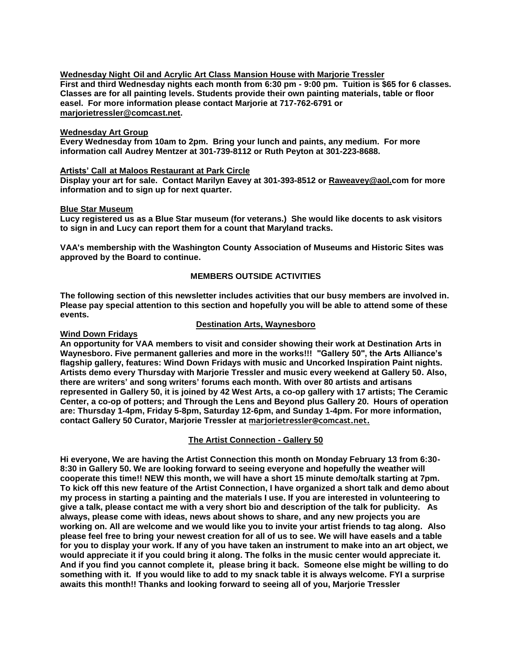**Wednesday Night Oil and Acrylic Art Class Mansion House with Marjorie Tressler First and third Wednesday nights each month from 6:30 pm - 9:00 pm. Tuition is \$65 for 6 classes. Classes are for all painting levels. Students provide their own painting materials, table or floor easel. For more information please contact Marjorie at 717-762-6791 or [marjorietressler@comcast.net.](mailto:marjorietressler@comcast.net)**

## **Wednesday Art Group**

**Every Wednesday from 10am to 2pm. Bring your lunch and paints, any medium. For more information call Audrey Mentzer at 301-739-8112 or Ruth Peyton at 301-223-8688.**

## **Artists' Call at Maloos Restaurant at Park Circle**

**Display your art for sale. Contact Marilyn Eavey at 301-393-8512 or [Raweavey@aol.com](mailto:Raweavey@aol.com) for more information and to sign up for next quarter.**

## **Blue Star Museum**

**Lucy registered us as a Blue Star museum (for veterans.) She would like docents to ask visitors to sign in and Lucy can report them for a count that Maryland tracks.** 

**VAA's membership with the Washington County Association of Museums and Historic Sites was approved by the Board to continue.** 

# **MEMBERS OUTSIDE ACTIVITIES**

**The following section of this newsletter includes activities that our busy members are involved in. Please pay special attention to this section and hopefully you will be able to attend some of these events.**

## **Destination Arts, Waynesboro**

## **Wind Down Fridays**

**An opportunity for VAA members to visit and consider showing their work at Destination Arts in Waynesboro. Five permanent galleries and more in the works!!! "Gallery 50", the Arts Alliance's flagship gallery, features: Wind Down Fridays with music and Uncorked Inspiration Paint nights. Artists demo every Thursday with Marjorie Tressler and music every weekend at Gallery 50. Also, there are writers' and song writers' forums each month. With over 80 artists and artisans represented in Gallery 50, it is joined by 42 West Arts, a co-op gallery with 17 artists; The Ceramic Center, a co-op of potters; and Through the Lens and Beyond plus Gallery 20. Hours of operation are: Thursday 1-4pm, Friday 5-8pm, Saturday 12-6pm, and Sunday 1-4pm. For more information, contact Gallery 50 Curator, Marjorie Tressler at [marjorietressler@comcast.net.](mailto:marjorietressler@comcast.net)**

# **The Artist Connection - Gallery 50**

**Hi everyone, We are having the Artist Connection this month on Monday February 13 from 6:30- 8:30 in Gallery 50. We are looking forward to seeing everyone and hopefully the weather will cooperate this time!! NEW this month, we will have a short 15 minute demo/talk starting at 7pm. To kick off this new feature of the Artist Connection, I have organized a short talk and demo about my process in starting a painting and the materials I use. If you are interested in volunteering to give a talk, please contact me with a very short bio and description of the talk for publicity. As always, please come with ideas, news about shows to share, and any new projects you are working on. All are welcome and we would like you to invite your artist friends to tag along. Also please feel free to bring your newest creation for all of us to see. We will have easels and a table for you to display your work. If any of you have taken an instrument to make into an art object, we would appreciate it if you could bring it along. The folks in the music center would appreciate it. And if you find you cannot complete it, please bring it back. Someone else might be willing to do something with it. If you would like to add to my snack table it is always welcome. FYI a surprise awaits this month!! Thanks and looking forward to seeing all of you, Marjorie Tressler**